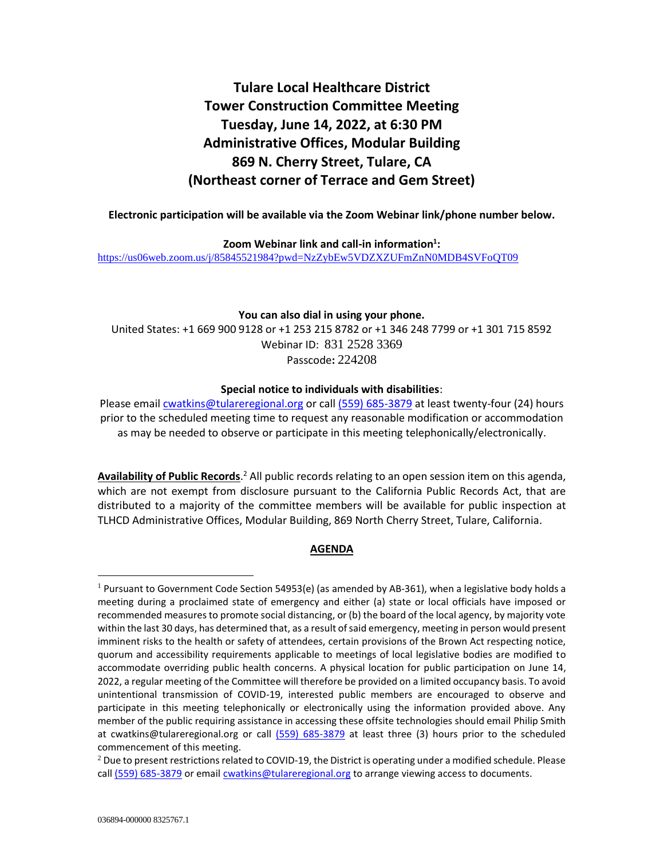# **Tulare Local Healthcare District Tower Construction Committee Meeting Tuesday, June 14, 2022, at 6:30 PM Administrative Offices, Modular Building 869 N. Cherry Street, Tulare, CA (Northeast corner of Terrace and Gem Street)**

**Electronic participation will be available via the Zoom Webinar link/phone number below.**

**Zoom Webinar link and call-in information<sup>1</sup> :** <https://us06web.zoom.us/j/85845521984?pwd=NzZybEw5VDZXZUFmZnN0MDB4SVFoQT09>

### **You can also dial in using your phone.**

United States: +1 669 900 9128 or +1 253 215 8782 or +1 346 248 7799 or +1 301 715 8592 Webinar ID: 831 2528 3369 Passcode**:** 224208

# **Special notice to individuals with disabilities**:

Please emai[l cwatkins@tulareregional.org](mailto:cwatkins@tulareregional.org) or call (559) 685-3879 at least twenty-four (24) hours prior to the scheduled meeting time to request any reasonable modification or accommodation as may be needed to observe or participate in this meeting telephonically/electronically.

Availability of Public Records.<sup>2</sup> All public records relating to an open session item on this agenda, which are not exempt from disclosure pursuant to the California Public Records Act, that are distributed to a majority of the committee members will be available for public inspection at TLHCD Administrative Offices, Modular Building, 869 North Cherry Street, Tulare, California.

# **AGENDA**

 $1$  Pursuant to Government Code Section 54953(e) (as amended by AB-361), when a legislative body holds a meeting during a proclaimed state of emergency and either (a) state or local officials have imposed or recommended measures to promote social distancing, or (b) the board of the local agency, by majority vote within the last 30 days, has determined that, as a result of said emergency, meeting in person would present imminent risks to the health or safety of attendees, certain provisions of the Brown Act respecting notice, quorum and accessibility requirements applicable to meetings of local legislative bodies are modified to accommodate overriding public health concerns. A physical location for public participation on June 14, 2022, a regular meeting of the Committee will therefore be provided on a limited occupancy basis. To avoid unintentional transmission of COVID-19, interested public members are encouraged to observe and participate in this meeting telephonically or electronically using the information provided above. Any member of the public requiring assistance in accessing these offsite technologies should email Philip Smith at cwatkins@tulareregional.org or call (559) 685-3879 at least three (3) hours prior to the scheduled commencement of this meeting.

 $^2$  Due to present restrictions related to COVID-19, the District is operating under a modified schedule. Please call (559) 685-3879 or email [cwatkins@tulareregional.org](mailto:cwatkins@tulareregional.org) to arrange viewing access to documents.